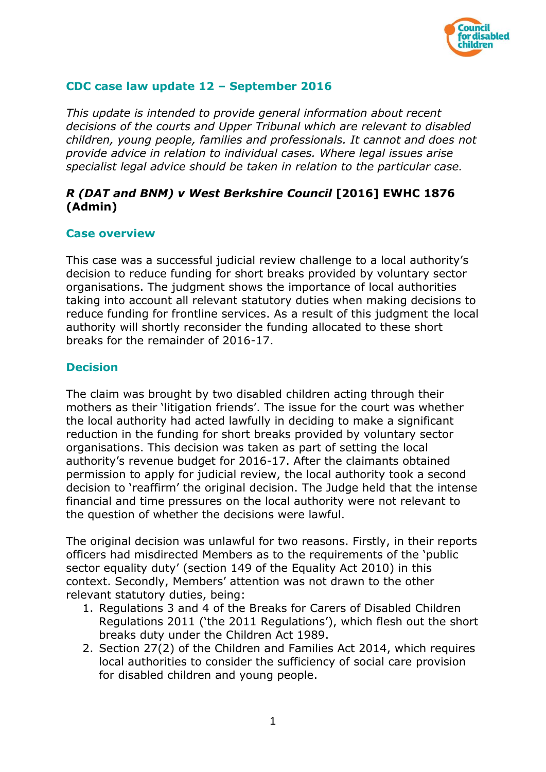

# **CDC case law update 12 – September 2016**

*This update is intended to provide general information about recent decisions of the courts and Upper Tribunal which are relevant to disabled children, young people, families and professionals. It cannot and does not provide advice in relation to individual cases. Where legal issues arise specialist legal advice should be taken in relation to the particular case.*

# *R (DAT and BNM) v West Berkshire Council* **[2016] EWHC 1876 (Admin)**

### **Case overview**

This case was a successful judicial review challenge to a local authority's decision to reduce funding for short breaks provided by voluntary sector organisations. The judgment shows the importance of local authorities taking into account all relevant statutory duties when making decisions to reduce funding for frontline services. As a result of this judgment the local authority will shortly reconsider the funding allocated to these short breaks for the remainder of 2016-17.

### **Decision**

The claim was brought by two disabled children acting through their mothers as their 'litigation friends'. The issue for the court was whether the local authority had acted lawfully in deciding to make a significant reduction in the funding for short breaks provided by voluntary sector organisations. This decision was taken as part of setting the local authority's revenue budget for 2016-17. After the claimants obtained permission to apply for judicial review, the local authority took a second decision to 'reaffirm' the original decision. The Judge held that the intense financial and time pressures on the local authority were not relevant to the question of whether the decisions were lawful.

The original decision was unlawful for two reasons. Firstly, in their reports officers had misdirected Members as to the requirements of the 'public sector equality duty' (section 149 of the Equality Act 2010) in this context. Secondly, Members' attention was not drawn to the other relevant statutory duties, being:

- 1. Regulations 3 and 4 of the Breaks for Carers of Disabled Children Regulations 2011 ('the 2011 Regulations'), which flesh out the short breaks duty under the Children Act 1989.
- 2. Section 27(2) of the Children and Families Act 2014, which requires local authorities to consider the sufficiency of social care provision for disabled children and young people.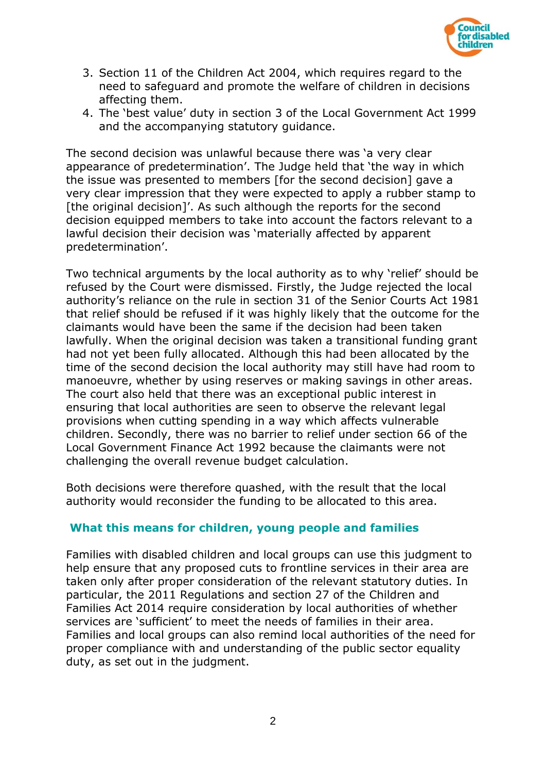

- 3. Section 11 of the Children Act 2004, which requires regard to the need to safeguard and promote the welfare of children in decisions affecting them.
- 4. The 'best value' duty in section 3 of the Local Government Act 1999 and the accompanying statutory guidance.

The second decision was unlawful because there was 'a very clear appearance of predetermination'. The Judge held that 'the way in which the issue was presented to members [for the second decision] gave a very clear impression that they were expected to apply a rubber stamp to [the original decision]'. As such although the reports for the second decision equipped members to take into account the factors relevant to a lawful decision their decision was 'materially affected by apparent predetermination'.

Two technical arguments by the local authority as to why 'relief' should be refused by the Court were dismissed. Firstly, the Judge rejected the local authority's reliance on the rule in section 31 of the Senior Courts Act 1981 that relief should be refused if it was highly likely that the outcome for the claimants would have been the same if the decision had been taken lawfully. When the original decision was taken a transitional funding grant had not yet been fully allocated. Although this had been allocated by the time of the second decision the local authority may still have had room to manoeuvre, whether by using reserves or making savings in other areas. The court also held that there was an exceptional public interest in ensuring that local authorities are seen to observe the relevant legal provisions when cutting spending in a way which affects vulnerable children. Secondly, there was no barrier to relief under section 66 of the Local Government Finance Act 1992 because the claimants were not challenging the overall revenue budget calculation.

Both decisions were therefore quashed, with the result that the local authority would reconsider the funding to be allocated to this area.

## **What this means for children, young people and families**

Families with disabled children and local groups can use this judgment to help ensure that any proposed cuts to frontline services in their area are taken only after proper consideration of the relevant statutory duties. In particular, the 2011 Regulations and section 27 of the Children and Families Act 2014 require consideration by local authorities of whether services are 'sufficient' to meet the needs of families in their area. Families and local groups can also remind local authorities of the need for proper compliance with and understanding of the public sector equality duty, as set out in the judgment.